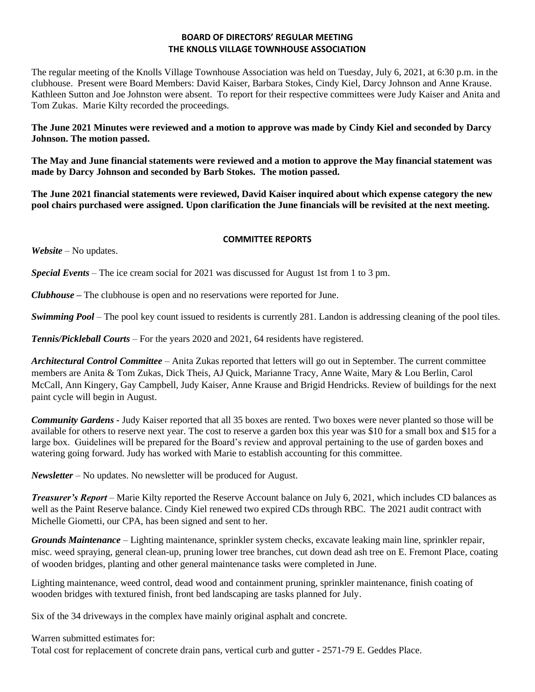## **BOARD OF DIRECTORS' REGULAR MEETING THE KNOLLS VILLAGE TOWNHOUSE ASSOCIATION**

The regular meeting of the Knolls Village Townhouse Association was held on Tuesday, July 6, 2021, at 6:30 p.m. in the clubhouse. Present were Board Members: David Kaiser, Barbara Stokes, Cindy Kiel, Darcy Johnson and Anne Krause. Kathleen Sutton and Joe Johnston were absent. To report for their respective committees were Judy Kaiser and Anita and Tom Zukas. Marie Kilty recorded the proceedings.

**The June 2021 Minutes were reviewed and a motion to approve was made by Cindy Kiel and seconded by Darcy Johnson. The motion passed.**

**The May and June financial statements were reviewed and a motion to approve the May financial statement was made by Darcy Johnson and seconded by Barb Stokes. The motion passed.**

**The June 2021 financial statements were reviewed, David Kaiser inquired about which expense category the new pool chairs purchased were assigned. Upon clarification the June financials will be revisited at the next meeting.** 

## **COMMITTEE REPORTS**

*Website –* No updates.

*Special Events* – The ice cream social for 2021 was discussed for August 1st from 1 to 3 pm.

*Clubhouse* **–** The clubhouse is open and no reservations were reported for June.

*Swimming Pool* – The pool key count issued to residents is currently 281. Landon is addressing cleaning of the pool tiles.

*Tennis/Pickleball Courts* – For the years 2020 and 2021, 64 residents have registered.

*Architectural Control Committee* – Anita Zukas reported that letters will go out in September. The current committee members are Anita & Tom Zukas, Dick Theis, AJ Quick, Marianne Tracy, Anne Waite, Mary & Lou Berlin, Carol McCall, Ann Kingery, Gay Campbell, Judy Kaiser, Anne Krause and Brigid Hendricks. Review of buildings for the next paint cycle will begin in August.

*Community Gardens* - Judy Kaiser reported that all 35 boxes are rented. Two boxes were never planted so those will be available for others to reserve next year. The cost to reserve a garden box this year was \$10 for a small box and \$15 for a large box. Guidelines will be prepared for the Board's review and approval pertaining to the use of garden boxes and watering going forward. Judy has worked with Marie to establish accounting for this committee.

*Newsletter* – No updates. No newsletter will be produced for August.

*Treasurer's Report* – Marie Kilty reported the Reserve Account balance on July 6, 2021, which includes CD balances as well as the Paint Reserve balance. Cindy Kiel renewed two expired CDs through RBC. The 2021 audit contract with Michelle Giometti, our CPA, has been signed and sent to her.

*Grounds Maintenance –* Lighting maintenance, sprinkler system checks, excavate leaking main line, sprinkler repair, misc. weed spraying, general clean-up, pruning lower tree branches, cut down dead ash tree on E. Fremont Place, coating of wooden bridges, planting and other general maintenance tasks were completed in June.

Lighting maintenance, weed control, dead wood and containment pruning, sprinkler maintenance, finish coating of wooden bridges with textured finish, front bed landscaping are tasks planned for July.

Six of the 34 driveways in the complex have mainly original asphalt and concrete.

Warren submitted estimates for:

Total cost for replacement of concrete drain pans, vertical curb and gutter - 2571-79 E. Geddes Place.